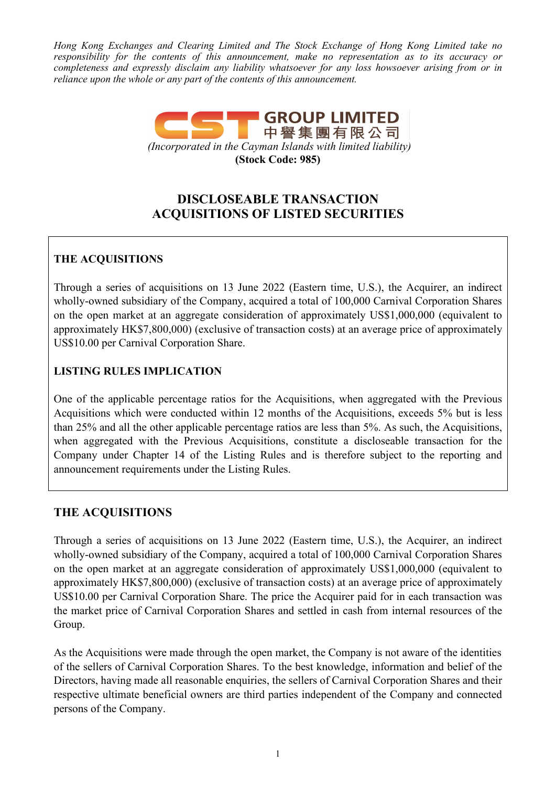*Hong Kong Exchanges and Clearing Limited and The Stock Exchange of Hong Kong Limited take no responsibility for the contents of this announcement, make no representation as to its accuracy or completeness and expressly disclaim any liability whatsoever for any loss howsoever arising from or in reliance upon the whole or any part of the contents of this announcement.*



# **DISCLOSEABLE TRANSACTION ACQUISITIONS OF LISTED SECURITIES**

## **THE ACQUISITIONS**

Through a series of acquisitions on 13 June 2022 (Eastern time, U.S.), the Acquirer, an indirect wholly-owned subsidiary of the Company, acquired a total of 100,000 Carnival Corporation Shares on the open market at an aggregate consideration of approximately US\$1,000,000 (equivalent to approximately HK\$7,800,000) (exclusive of transaction costs) at an average price of approximately US\$10.00 per Carnival Corporation Share.

## **LISTING RULES IMPLICATION**

One of the applicable percentage ratios for the Acquisitions, when aggregated with the Previous Acquisitions which were conducted within 12 months of the Acquisitions, exceeds 5% but is less than 25% and all the other applicable percentage ratios are less than 5%. As such, the Acquisitions, when aggregated with the Previous Acquisitions, constitute a discloseable transaction for the Company under Chapter 14 of the Listing Rules and is therefore subject to the reporting and announcement requirements under the Listing Rules.

## **THE ACQUISITIONS**

Through a series of acquisitions on 13 June 2022 (Eastern time, U.S.), the Acquirer, an indirect wholly-owned subsidiary of the Company, acquired a total of 100,000 Carnival Corporation Shares on the open market at an aggregate consideration of approximately US\$1,000,000 (equivalent to approximately HK\$7,800,000) (exclusive of transaction costs) at an average price of approximately US\$10.00 per Carnival Corporation Share. The price the Acquirer paid for in each transaction was the market price of Carnival Corporation Shares and settled in cash from internal resources of the Group.

As the Acquisitions were made through the open market, the Company is not aware of the identities of the sellers of Carnival Corporation Shares. To the best knowledge, information and belief of the Directors, having made all reasonable enquiries, the sellers of Carnival Corporation Shares and their respective ultimate beneficial owners are third parties independent of the Company and connected persons of the Company.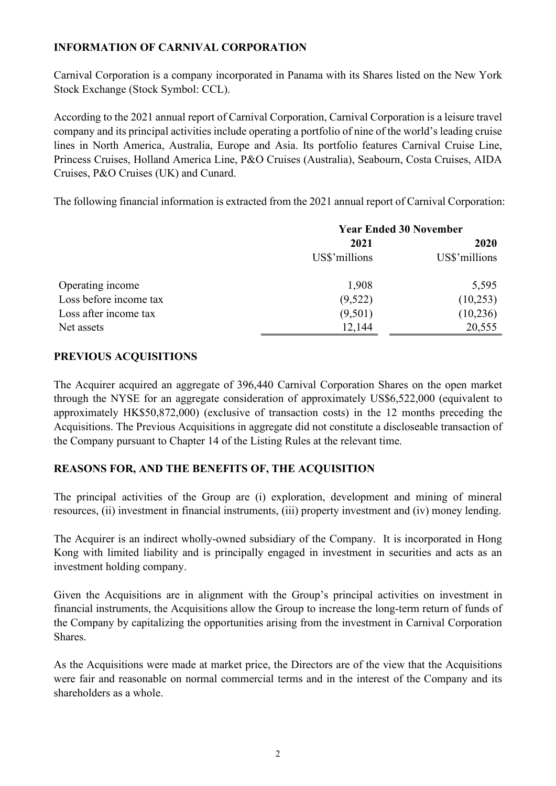## **INFORMATION OF CARNIVAL CORPORATION**

Carnival Corporation is a company incorporated in Panama with its Shares listed on the New York Stock Exchange (Stock Symbol: CCL).

According to the 2021 annual report of Carnival Corporation, Carnival Corporation is a leisure travel company and its principal activities include operating a portfolio of nine of the world's leading cruise lines in North America, Australia, Europe and Asia. Its portfolio features Carnival Cruise Line, Princess Cruises, Holland America Line, P&O Cruises (Australia), Seabourn, Costa Cruises, AIDA Cruises, P&O Cruises (UK) and Cunard.

The following financial information is extracted from the 2021 annual report of Carnival Corporation:

|                        | <b>Year Ended 30 November</b> |               |
|------------------------|-------------------------------|---------------|
|                        | 2021                          | 2020          |
|                        | US\$'millions                 | US\$'millions |
| Operating income       | 1,908                         | 5,595         |
| Loss before income tax | (9,522)                       | (10,253)      |
| Loss after income tax  | (9,501)                       | (10,236)      |
| Net assets             | 12,144                        | 20,555        |

## **PREVIOUS ACQUISITIONS**

The Acquirer acquired an aggregate of 396,440 Carnival Corporation Shares on the open market through the NYSE for an aggregate consideration of approximately US\$6,522,000 (equivalent to approximately HK\$50,872,000) (exclusive of transaction costs) in the 12 months preceding the Acquisitions. The Previous Acquisitions in aggregate did not constitute a discloseable transaction of the Company pursuant to Chapter 14 of the Listing Rules at the relevant time.

## **REASONS FOR, AND THE BENEFITS OF, THE ACQUISITION**

The principal activities of the Group are (i) exploration, development and mining of mineral resources, (ii) investment in financial instruments, (iii) property investment and (iv) money lending.

The Acquirer is an indirect wholly-owned subsidiary of the Company. It is incorporated in Hong Kong with limited liability and is principally engaged in investment in securities and acts as an investment holding company.

Given the Acquisitions are in alignment with the Group's principal activities on investment in financial instruments, the Acquisitions allow the Group to increase the long-term return of funds of the Company by capitalizing the opportunities arising from the investment in Carnival Corporation Shares.

As the Acquisitions were made at market price, the Directors are of the view that the Acquisitions were fair and reasonable on normal commercial terms and in the interest of the Company and its shareholders as a whole.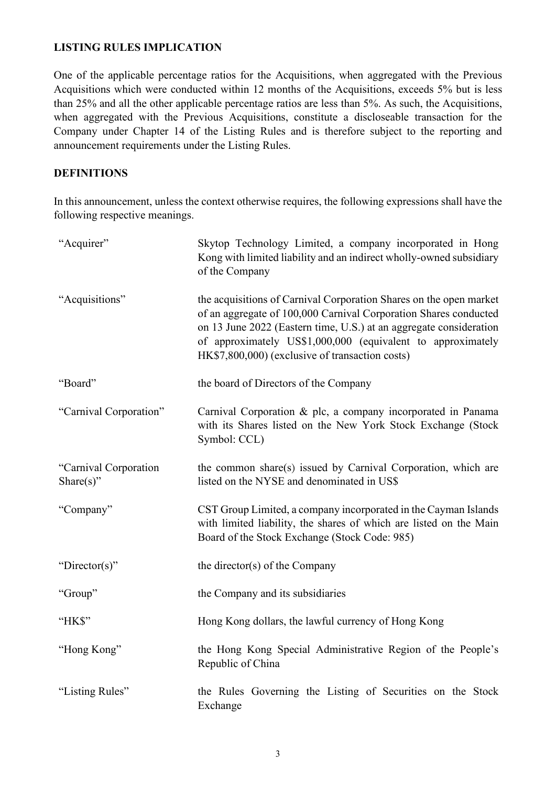#### **LISTING RULES IMPLICATION**

One of the applicable percentage ratios for the Acquisitions, when aggregated with the Previous Acquisitions which were conducted within 12 months of the Acquisitions, exceeds 5% but is less than 25% and all the other applicable percentage ratios are less than 5%. As such, the Acquisitions, when aggregated with the Previous Acquisitions, constitute a discloseable transaction for the Company under Chapter 14 of the Listing Rules and is therefore subject to the reporting and announcement requirements under the Listing Rules.

#### **DEFINITIONS**

In this announcement, unless the context otherwise requires, the following expressions shall have the following respective meanings.

| "Acquirer"                             | Skytop Technology Limited, a company incorporated in Hong<br>Kong with limited liability and an indirect wholly-owned subsidiary<br>of the Company                                                                                                                                                                             |
|----------------------------------------|--------------------------------------------------------------------------------------------------------------------------------------------------------------------------------------------------------------------------------------------------------------------------------------------------------------------------------|
| "Acquisitions"                         | the acquisitions of Carnival Corporation Shares on the open market<br>of an aggregate of 100,000 Carnival Corporation Shares conducted<br>on 13 June 2022 (Eastern time, U.S.) at an aggregate consideration<br>of approximately US\$1,000,000 (equivalent to approximately<br>HK\$7,800,000) (exclusive of transaction costs) |
| "Board"                                | the board of Directors of the Company                                                                                                                                                                                                                                                                                          |
| "Carnival Corporation"                 | Carnival Corporation & plc, a company incorporated in Panama<br>with its Shares listed on the New York Stock Exchange (Stock<br>Symbol: CCL)                                                                                                                                                                                   |
| "Carnival Corporation<br>Share $(s)$ " | the common share(s) issued by Carnival Corporation, which are<br>listed on the NYSE and denominated in US\$                                                                                                                                                                                                                    |
| "Company"                              | CST Group Limited, a company incorporated in the Cayman Islands<br>with limited liability, the shares of which are listed on the Main<br>Board of the Stock Exchange (Stock Code: 985)                                                                                                                                         |
| "Director(s)"                          | the director(s) of the Company                                                                                                                                                                                                                                                                                                 |
| "Group"                                | the Company and its subsidiaries                                                                                                                                                                                                                                                                                               |
| "HK\$"                                 | Hong Kong dollars, the lawful currency of Hong Kong                                                                                                                                                                                                                                                                            |
| "Hong Kong"                            | the Hong Kong Special Administrative Region of the People's<br>Republic of China                                                                                                                                                                                                                                               |
| "Listing Rules"                        | the Rules Governing the Listing of Securities on the Stock<br>Exchange                                                                                                                                                                                                                                                         |